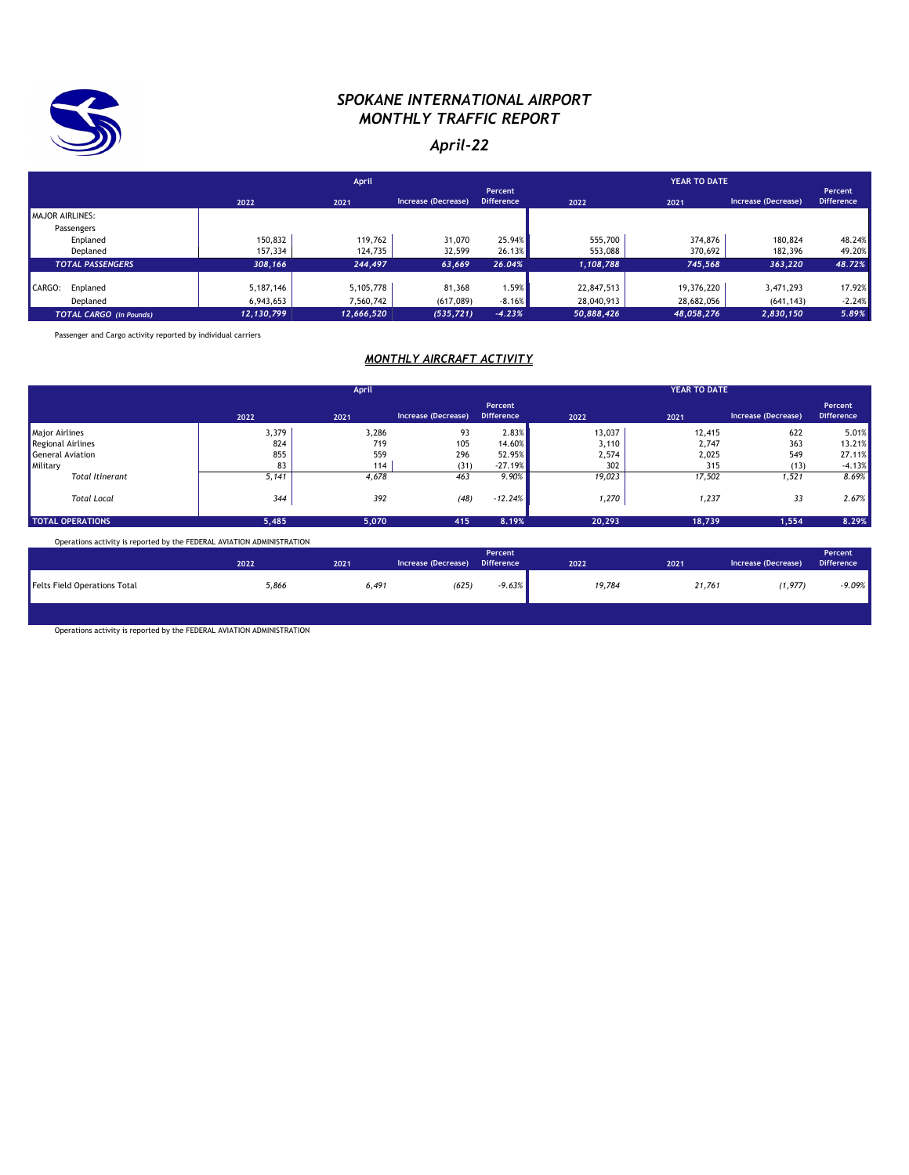

#### *SPOKANE INTERNATIONAL AIRPORT MONTHLY TRAFFIC REPORT*

#### *April-22*

|                                | April      |            |                     |                              |            |            |                     |                              |
|--------------------------------|------------|------------|---------------------|------------------------------|------------|------------|---------------------|------------------------------|
|                                | 2022       | 2021       | Increase (Decrease) | Percent<br><b>Difference</b> | 2022       | 2021       | Increase (Decrease) | Percent<br><b>Difference</b> |
| <b>MAJOR AIRLINES:</b>         |            |            |                     |                              |            |            |                     |                              |
| Passengers                     |            |            |                     |                              |            |            |                     |                              |
| Enplaned                       | 150,832    | 119,762    | 31,070              | 25.94%                       | 555,700    | 374,876    | 180,824             | 48.24%                       |
| Deplaned                       | 157,334    | 124,735    | 32,599              | 26.13%                       | 553,088    | 370,692    | 182,396             | 49.20%                       |
| <b>TOTAL PASSENGERS</b>        | 308,166    | 244,497    | 63,669              | 26.04%                       | 1,108,788  | 745,568    | 363,220             | 48.72%                       |
| CARGO:<br>Enplaned             | 5,187,146  | 5,105,778  | 81,368              | 1.59%                        | 22,847,513 | 19,376,220 | 3,471,293           | 17.92%                       |
| Deplaned                       | 6,943,653  | 7,560,742  | (617,089)           | $-8.16%$                     | 28,040,913 | 28,682,056 | (641, 143)          | $-2.24%$                     |
| <b>TOTAL CARGO</b> (in Pounds) | 12,130,799 | 12,666,520 | (535, 721)          | $-4.23%$                     | 50,888,426 | 48,058,276 | 2,830,150           | 5.89%                        |

Passenger and Cargo activity reported by individual carriers

#### *MONTHLY AIRCRAFT ACTIVITY*

|                         | April |       |                     |                              | <b>YEAR TO DATE</b> |        |                     |                              |
|-------------------------|-------|-------|---------------------|------------------------------|---------------------|--------|---------------------|------------------------------|
|                         | 2022  | 2021  | Increase (Decrease) | Percent<br><b>Difference</b> | 2022                | 2021   | Increase (Decrease) | Percent<br><b>Difference</b> |
| <b>Major Airlines</b>   | 3,379 | 3,286 | 93                  | 2.83%                        | 13,037              | 12,415 | 622                 | 5.01%                        |
| Regional Airlines       | 824   | 719   | 105                 | 14.60%                       | 3,110               | 2,747  | 363                 | 13.21%                       |
| General Aviation        | 855   | 559   | 296                 | 52.95%                       | 2,574               | 2,025  | 549                 | 27.11%                       |
| Military                | 83    | 114   | (31)                | $-27.19%$                    | 302                 | 315    | (13)                | $-4.13%$                     |
| <b>Total Itinerant</b>  | 5,141 | 4,678 | 463                 | 9.90%                        | 19,023              | 17,502 | 1,521               | 8.69%                        |
| <b>Total Local</b>      | 344   | 392   | (48)                | $-12.24%$                    | 1,270               | 1,237  | 33                  | 2.67%                        |
| <b>TOTAL OPERATIONS</b> | 5,485 | 5,070 | 415                 | 8.19%                        | 20,293              | 18,739 | 1,554               | 8.29%                        |

Operations activity is reported by the FEDERAL AVIATION ADMINISTRATION

|                                     | 2022  | 2021  | Increase (Decrease) | Percent<br><b>Difference</b> | 2022   | 2021   | Increase (Decrease) | Percent<br><b>Difference</b> |
|-------------------------------------|-------|-------|---------------------|------------------------------|--------|--------|---------------------|------------------------------|
| <b>Felts Field Operations Total</b> | 5,866 | 6,491 | (625)               | $-9.63%$                     | 19,784 | 21,761 | (1, 977)            | $-9.09%$                     |
|                                     |       |       |                     |                              |        |        |                     |                              |

Operations activity is reported by the FEDERAL AVIATION ADMINISTRATION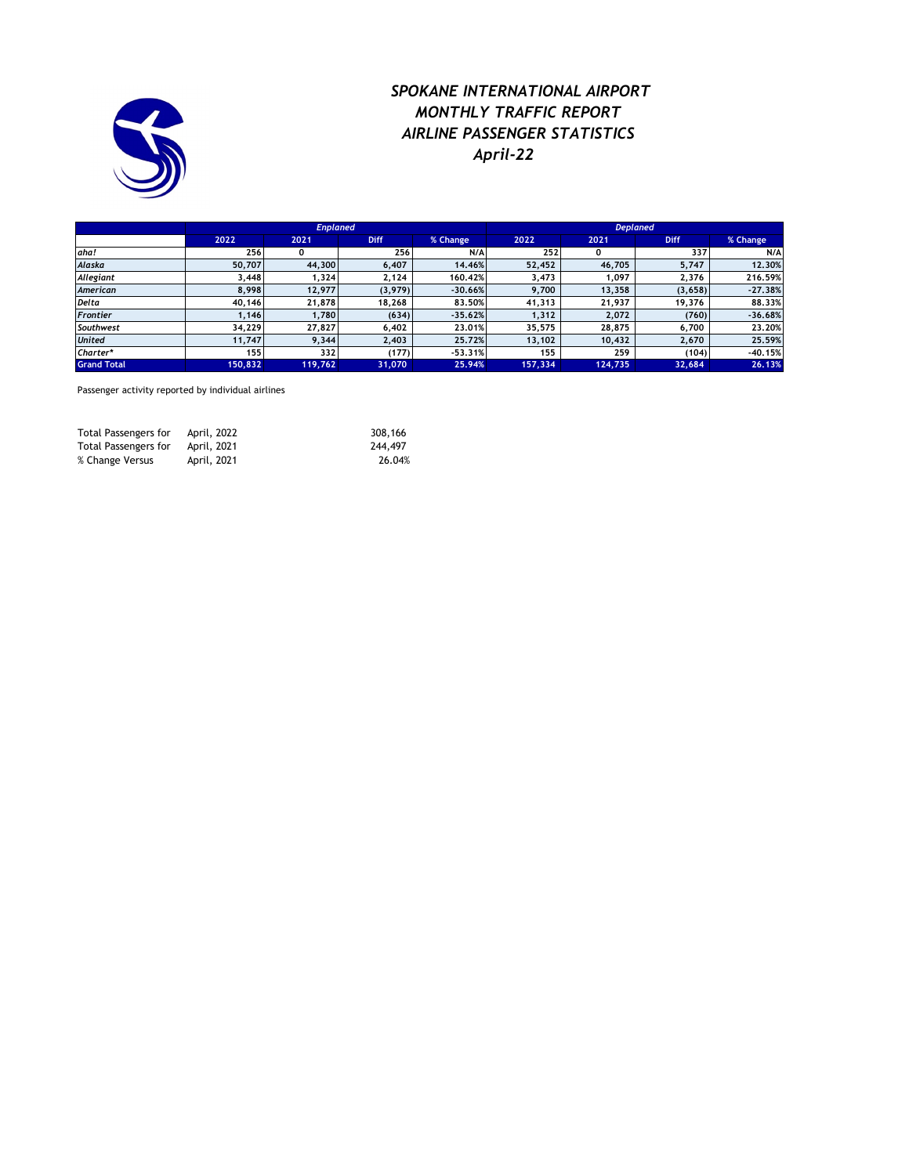

### *SPOKANE INTERNATIONAL AIRPORT MONTHLY TRAFFIC REPORT AIRLINE PASSENGER STATISTICS April-22*

|                    |         | <b>Enplaned</b> |             |           | <b>Deplaned</b> |         |             |           |  |
|--------------------|---------|-----------------|-------------|-----------|-----------------|---------|-------------|-----------|--|
|                    | 2022    | 2021            | <b>Diff</b> | % Change  | 2022            | 2021    | <b>Diff</b> | % Change  |  |
| aha!               | 256     | 0               | 256         | N/A       | 252             |         | 337         | N/A       |  |
| Alaska             | 50,707  | 44,300          | 6.407       | 14.46%    | 52.452          | 46,705  | 5,747       | 12.30%    |  |
| Allegiant          | 3,448   | 1,324           | 2,124       | 160.42%   | 3,473           | 097,١   | 2,376       | 216.59%   |  |
| American           | 8.998   | 12,977          | (3,979)     | $-30.66%$ | 9.700           | 13,358  | (3,658)     | $-27,38%$ |  |
| <b>Delta</b>       | 40,146  | 21,878          | 18,268      | 83.50%    | 41,313          | 21,937  | 19,376      | 88,33%    |  |
| <b>Frontier</b>    | 1.146   | 1.780           | (634)       | $-35.62%$ | 1.312           | 2.072   | (760)       | $-36.68%$ |  |
| Southwest          | 34,229  | 27,827          | 6,402       | 23.01%    | 35,575          | 28,875  | 6,700       | 23.20%    |  |
| <b>United</b>      | 11,747  | 9,344           | 2,403       | 25.72%    | 13,102          | 10,432  | 2,670       | 25.59%    |  |
| Charter*           | 155     | 332             | (177)       | $-53.31%$ | 155             | 259     | (104)       | $-40.15%$ |  |
| <b>Grand Total</b> | 150,832 | 119,762         | 31,070      | 25.94%    | 157,334         | 124,735 | 32,684      | 26.13%    |  |

Passenger activity reported by individual airlines

| Total Passengers for | April, 2022 | 308,166 |
|----------------------|-------------|---------|
| Total Passengers for | April, 2021 | 244,497 |
| % Change Versus      | April, 2021 | 26.04%  |